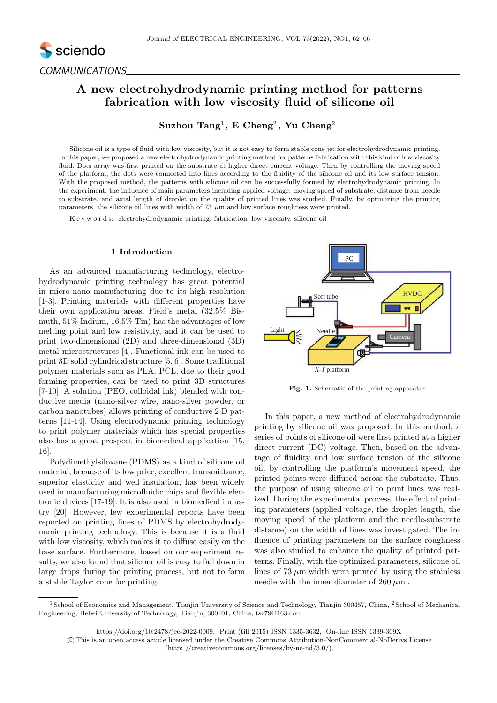

# A new electrohydrodynamic printing method for patterns fabrication with low viscosity fluid of silicone oil

## Suzhou Tang<sup>1</sup>, E Cheng<sup>2</sup>, Yu Cheng<sup>2</sup>

Silicone oil is a type of fluid with low viscosity, but it is not easy to form stable cone jet for electrohydrodynamic printing. In this paper, we proposed a new electrohydrodynamic printing method for patterns fabrication with this kind of low viscosity fluid. Dots array was first printed on the substrate at higher direct current voltage. Then by controlling the moving speed of the platform, the dots were connected into lines according to the fluidity of the silicone oil and its low surface tension. With the proposed method, the patterns with silicone oil can be successfully formed by electrohydrodynamic printing. In the experiment, the influence of main parameters including applied voltage, moving speed of substrate, distance from needle to substrate, and axial length of droplet on the quality of printed lines was studied. Finally, by optimizing the printing parameters, the silicone oil lines with width of 73  $\mu$ m and low surface roughness were printed.

K e y w o r d s: electrohydrodynamic printing, fabrication, low viscosity, silicone oil

#### 1 Introduction

As an advanced manufacturing technology, electrohydrodynamic printing technology has great potential in micro-nano manufacturing due to its high resolution [1-3]. Printing materials with different properties have their own application areas. Field's metal (32.5% Bismuth, 51% Indium, 16.5% Tin) has the advantages of low melting point and low resistivity, and it can be used to print two-dimensional (2D) and three-dimensional (3D) metal microstructures [4]. Functional ink can be used to print 3D solid cylindrical structure [5, 6]. Some traditional polymer materials such as PLA, PCL, due to their good forming properties, can be used to print 3D structures [7-10]. A solution (PEO, colloidal ink) blended with conductive media (nano-silver wire, nano-silver powder, or carbon nanotubes) allows printing of conductive 2 D patterns [11-14]. Using electrodynamic printing technology to print polymer materials which has special properties also has a great prospect in biomedical application [15, 16].

Polydimethylsiloxane (PDMS) as a kind of silicone oil material, because of its low price, excellent transmittance, superior elasticity and well insulation, has been widely used in manufacturing microfluidic chips and flexible electronic devices [17-19]. It is also used in biomedical industry [20]. However, few experimental reports have been reported on printing lines of PDMS by electrohydrodynamic printing technology. This is because it is a fluid with low viscosity, which makes it to diffuse easily on the base surface. Furthermore, based on our experiment results, we also found that silicone oil is easy to fall down in large drops during the printing process, but not to form a stable Taylor cone for printing.



Fig. 1. Schematic of the printing apparatus

In this paper, a new method of electrohydrodynamic printing by silicone oil was proposed. In this method, a series of points of silicone oil were first printed at a higher direct current (DC) voltage. Then, based on the advantage of fluidity and low surface tension of the silicone oil, by controlling the platform's movement speed, the printed points were diffused across the substrate. Thus, the purpose of using silicone oil to print lines was realized. During the experimental process, the effect of printing parameters (applied voltage, the droplet length, the moving speed of the platform and the needle-substrate distance) on the width of lines was investigated. The influence of printing parameters on the surface roughness was also studied to enhance the quality of printed patterns. Finally, with the optimized parameters, silicone oil lines of  $73 \mu m$  width were printed by using the stainless needle with the inner diameter of  $260 \mu m$ .

https://doi.org/10.2478/jee-2022-0009, Print (till 2015) ISSN 1335-3632, On-line ISSN 1339-309X

<sup>&</sup>lt;sup>1</sup> School of Economics and Management, Tianjin University of Science and Technology, Tianjin 300457, China, <sup>2</sup> School of Mechanical Engineering, Hebei University of Technology, Tianjin, 300401, China, tsz79@163.com

c This is an open access article licensed under the Creative Commons Attribution-NonCommercial-NoDerivs License (http: //creativecommons.org/licenses/by-nc-nd/3.0/).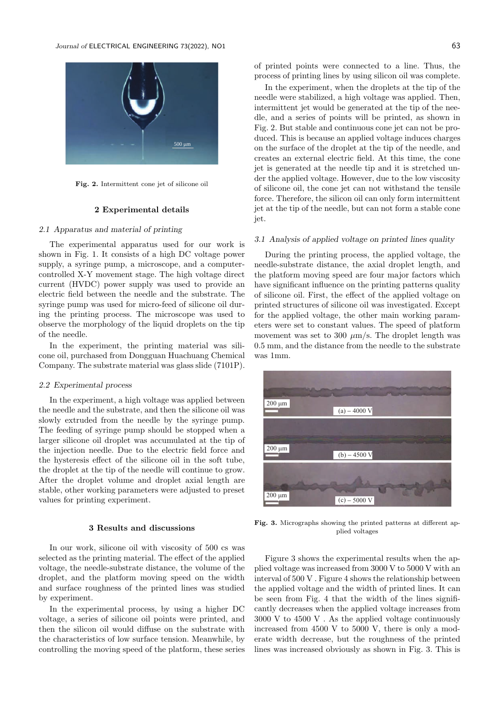

Fig. 2. Intermittent cone jet of silicone oil

#### 2 Experimental details

## 2.1 Apparatus and material of printing

The experimental apparatus used for our work is shown in Fig. 1. It consists of a high DC voltage power supply, a syringe pump, a microscope, and a computercontrolled X-Y movement stage. The high voltage direct current (HVDC) power supply was used to provide an electric field between the needle and the substrate. The syringe pump was used for micro-feed of silicone oil during the printing process. The microscope was used to observe the morphology of the liquid droplets on the tip of the needle.

In the experiment, the printing material was silicone oil, purchased from Dongguan Huachuang Chemical Company. The substrate material was glass slide (7101P).

#### 2.2 Experimental process

In the experiment, a high voltage was applied between the needle and the substrate, and then the silicone oil was slowly extruded from the needle by the syringe pump. The feeding of syringe pump should be stopped when a larger silicone oil droplet was accumulated at the tip of the injection needle. Due to the electric field force and the hysteresis effect of the silicone oil in the soft tube, the droplet at the tip of the needle will continue to grow. After the droplet volume and droplet axial length are stable, other working parameters were adjusted to preset values for printing experiment.

## 3 Results and discussions

In our work, silicone oil with viscosity of 500 cs was selected as the printing material. The effect of the applied voltage, the needle-substrate distance, the volume of the droplet, and the platform moving speed on the width and surface roughness of the printed lines was studied by experiment.

In the experimental process, by using a higher DC voltage, a series of silicone oil points were printed, and then the silicon oil would diffuse on the substrate with the characteristics of low surface tension. Meanwhile, by controlling the moving speed of the platform, these series of printed points were connected to a line. Thus, the process of printing lines by using silicon oil was complete.

In the experiment, when the droplets at the tip of the needle were stabilized, a high voltage was applied. Then, intermittent jet would be generated at the tip of the needle, and a series of points will be printed, as shown in Fig. 2. But stable and continuous cone jet can not be produced. This is because an applied voltage induces charges on the surface of the droplet at the tip of the needle, and creates an external electric field. At this time, the cone jet is generated at the needle tip and it is stretched under the applied voltage. However, due to the low viscosity of silicone oil, the cone jet can not withstand the tensile force. Therefore, the silicon oil can only form intermittent jet at the tip of the needle, but can not form a stable cone jet.

#### 3.1 Analysis of applied voltage on printed lines quality

During the printing process, the applied voltage, the needle-substrate distance, the axial droplet length, and the platform moving speed are four major factors which have significant influence on the printing patterns quality of silicone oil. First, the effect of the applied voltage on printed structures of silicone oil was investigated. Except for the applied voltage, the other main working parameters were set to constant values. The speed of platform movement was set to 300  $\mu$ m/s. The droplet length was 0.5 mm, and the distance from the needle to the substrate was 1mm.



Fig. 3. Micrographs showing the printed patterns at different applied voltages

Figure 3 shows the experimental results when the applied voltage was increased from 3000 V to 5000 V with an interval of 500 V . Figure 4 shows the relationship between the applied voltage and the width of printed lines. It can be seen from Fig. 4 that the width of the lines significantly decreases when the applied voltage increases from 3000 V to 4500 V . As the applied voltage continuously increased from 4500 V to 5000 V, there is only a moderate width decrease, but the roughness of the printed lines was increased obviously as shown in Fig. 3. This is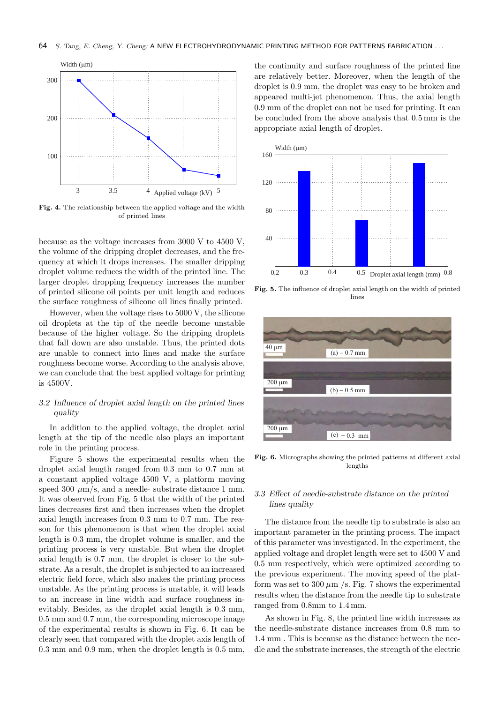

Fig. 4. The relationship between the applied voltage and the width of printed lines

because as the voltage increases from 3000 V to 4500 V, the volume of the dripping droplet decreases, and the frequency at which it drops increases. The smaller dripping droplet volume reduces the width of the printed line. The larger droplet dropping frequency increases the number of printed silicone oil points per unit length and reduces the surface roughness of silicone oil lines finally printed.

However, when the voltage rises to 5000 V, the silicone oil droplets at the tip of the needle become unstable because of the higher voltage. So the dripping droplets that fall down are also unstable. Thus, the printed dots are unable to connect into lines and make the surface roughness become worse. According to the analysis above, we can conclude that the best applied voltage for printing is 4500V.

## 3.2 Influence of droplet axial length on the printed lines quality

In addition to the applied voltage, the droplet axial length at the tip of the needle also plays an important role in the printing process.

Figure 5 shows the experimental results when the droplet axial length ranged from 0.3 mm to 0.7 mm at a constant applied voltage 4500 V, a platform moving speed 300  $\mu$ m/s, and a needle- substrate distance 1 mm. It was observed from Fig. 5 that the width of the printed lines decreases first and then increases when the droplet axial length increases from 0.3 mm to 0.7 mm. The reason for this phenomenon is that when the droplet axial length is 0.3 mm, the droplet volume is smaller, and the printing process is very unstable. But when the droplet axial length is 0.7 mm, the droplet is closer to the substrate. As a result, the droplet is subjected to an increased electric field force, which also makes the printing process unstable. As the printing process is unstable, it will leads to an increase in line width and surface roughness inevitably. Besides, as the droplet axial length is 0.3 mm, 0.5 mm and 0.7 mm, the corresponding microscope image of the experimental results is shown in Fig. 6. It can be clearly seen that compared with the droplet axis length of 0.3 mm and 0.9 mm, when the droplet length is 0.5 mm, the continuity and surface roughness of the printed line are relatively better. Moreover, when the length of the droplet is 0.9 mm, the droplet was easy to be broken and appeared multi-jet phenomenon. Thus, the axial length 0.9 mm of the droplet can not be used for printing. It can be concluded from the above analysis that 0.5 mm is the appropriate axial length of droplet.



Fig. 5. The influence of droplet axial length on the width of printed lines



Fig. 6. Micrographs showing the printed patterns at different axial lengths

## 3.3 Effect of needle-substrate distance on the printed lines quality

The distance from the needle tip to substrate is also an important parameter in the printing process. The impact of this parameter was investigated. In the experiment, the applied voltage and droplet length were set to 4500 V and 0.5 mm respectively, which were optimized according to the previous experiment. The moving speed of the platform was set to 300  $\mu$ m /s. Fig. 7 shows the experimental results when the distance from the needle tip to substrate ranged from 0.8mm to 1.4 mm.

As shown in Fig. 8, the printed line width increases as the needle-substrate distance increases from 0.8 mm to 1.4 mm . This is because as the distance between the needle and the substrate increases, the strength of the electric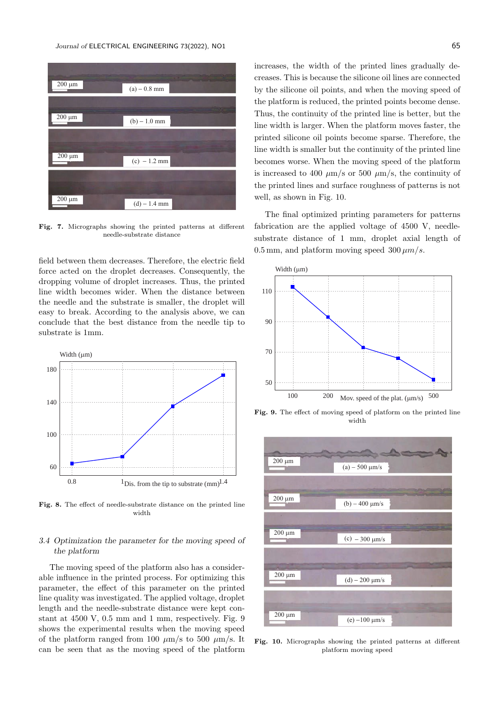

Fig. 7. Micrographs showing the printed patterns at different needle-substrate distance

field between them decreases. Therefore, the electric field force acted on the droplet decreases. Consequently, the dropping volume of droplet increases. Thus, the printed line width becomes wider. When the distance between the needle and the substrate is smaller, the droplet will easy to break. According to the analysis above, we can conclude that the best distance from the needle tip to substrate is 1mm.



Fig. 8. The effect of needle-substrate distance on the printed line width

## 3.4 Optimization the parameter for the moving speed of the platform

The moving speed of the platform also has a considerable influence in the printed process. For optimizing this parameter, the effect of this parameter on the printed line quality was investigated. The applied voltage, droplet length and the needle-substrate distance were kept constant at 4500 V, 0.5 mm and 1 mm, respectively. Fig. 9 shows the experimental results when the moving speed of the platform ranged from 100  $\mu$ m/s to 500  $\mu$ m/s. It can be seen that as the moving speed of the platform increases, the width of the printed lines gradually decreases. This is because the silicone oil lines are connected by the silicone oil points, and when the moving speed of the platform is reduced, the printed points become dense. Thus, the continuity of the printed line is better, but the line width is larger. When the platform moves faster, the printed silicone oil points become sparse. Therefore, the line width is smaller but the continuity of the printed line becomes worse. When the moving speed of the platform is increased to 400  $\mu$ m/s or 500  $\mu$ m/s, the continuity of the printed lines and surface roughness of patterns is not well, as shown in Fig. 10.

The final optimized printing parameters for patterns fabrication are the applied voltage of 4500 V, needlesubstrate distance of 1 mm, droplet axial length of 0.5 mm, and platform moving speed  $300 \mu m/s$ .



Fig. 9. The effect of moving speed of platform on the printed line width



Fig. 10. Micrographs showing the printed patterns at different platform moving speed